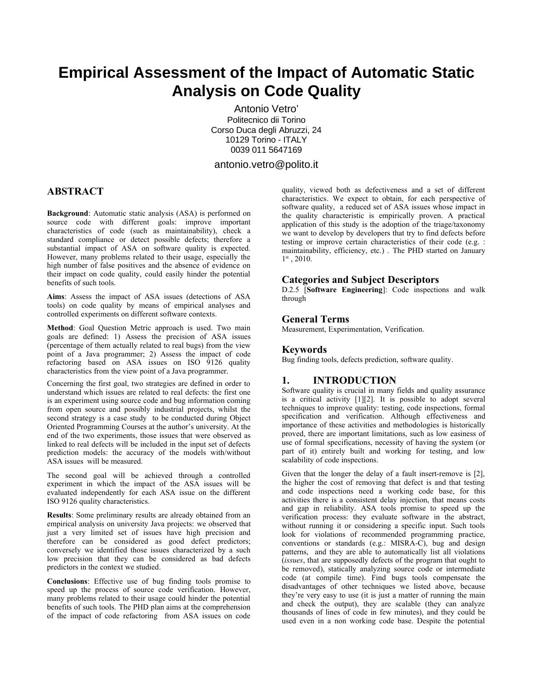# **Empirical Assessment of the Impact of Automatic Static Analysis on Code Quality**

Antonio Vetro' Politecnico dii Torino Corso Duca degli Abruzzi, 24 10129 Torino - ITALY 0039 011 5647169

antonio.vetro@polito.it

# **ABSTRACT**

**Background**: Automatic static analysis (ASA) is performed on source code with different goals: improve important characteristics of code (such as maintainability), check a standard compliance or detect possible defects; therefore a substantial impact of ASA on software quality is expected. However, many problems related to their usage, especially the high number of false positives and the absence of evidence on their impact on code quality, could easily hinder the potential benefits of such tools.

**Aims**: Assess the impact of ASA issues (detections of ASA tools) on code quality by means of empirical analyses and controlled experiments on different software contexts.

**Method**: Goal Question Metric approach is used. Two main goals are defined: 1) Assess the precision of ASA issues (percentage of them actually related to real bugs) from the view point of a Java programmer; 2) Assess the impact of code refactoring based on ASA issues on ISO 9126 quality characteristics from the view point of a Java programmer.

Concerning the first goal, two strategies are defined in order to understand which issues are related to real defects: the first one is an experiment using source code and bug information coming from open source and possibly industrial projects, whilst the second strategy is a case study to be conducted during Object Oriented Programming Courses at the author's university. At the end of the two experiments, those issues that were observed as linked to real defects will be included in the input set of defects prediction models: the accuracy of the models with/without ASA issues will be measured.

The second goal will be achieved through a controlled experiment in which the impact of the ASA issues will be evaluated independently for each ASA issue on the different ISO 9126 quality characteristics.

**Results**: Some preliminary results are already obtained from an empirical analysis on university Java projects: we observed that just a very limited set of issues have high precision and therefore can be considered as good defect predictors; conversely we identified those issues characterized by a such low precision that they can be considered as bad defects predictors in the context we studied.

**Conclusions**: Effective use of bug finding tools promise to speed up the process of source code verification. However, many problems related to their usage could hinder the potential benefits of such tools. The PHD plan aims at the comprehension of the impact of code refactoring from ASA issues on code

quality, viewed both as defectiveness and a set of different characteristics. We expect to obtain, for each perspective of software quality, a reduced set of ASA issues whose impact in the quality characteristic is empirically proven. A practical application of this study is the adoption of the triage/taxonomy we want to develop by developers that try to find defects before testing or improve certain characteristics of their code (e.g. : maintainability, efficiency, etc.) . The PHD started on January 1st, 2010.

# **Categories and Subject Descriptors**

D.2.5 [**Software Engineering**]: Code inspections and walk through

## **General Terms**

Measurement, Experimentation, Verification.

# **Keywords**

Bug finding tools, defects prediction, software quality.

# **1. INTRODUCTION**

Software quality is crucial in many fields and quality assurance is a critical activity [1][2]. It is possible to adopt several techniques to improve quality: testing, code inspections, formal specification and verification. Although effectiveness and importance of these activities and methodologies is historically proved, there are important limitations, such as low easiness of use of formal specifications, necessity of having the system (or part of it) entirely built and working for testing, and low scalability of code inspections.

Given that the longer the delay of a fault insert-remove is [2], the higher the cost of removing that defect is and that testing and code inspections need a working code base, for this activities there is a consistent delay injection, that means costs and gap in reliability. ASA tools promise to speed up the verification process: they evaluate software in the abstract, without running it or considering a specific input. Such tools look for violations of recommended programming practice, conventions or standards (e.g.: MISRA-C), bug and design patterns, and they are able to automatically list all violations (*issues*, that are supposedly defects of the program that ought to be removed), statically analyzing source code or intermediate code (at compile time). Find bugs tools compensate the disadvantages of other techniques we listed above, because they're very easy to use (it is just a matter of running the main and check the output), they are scalable (they can analyze thousands of lines of code in few minutes), and they could be used even in a non working code base. Despite the potential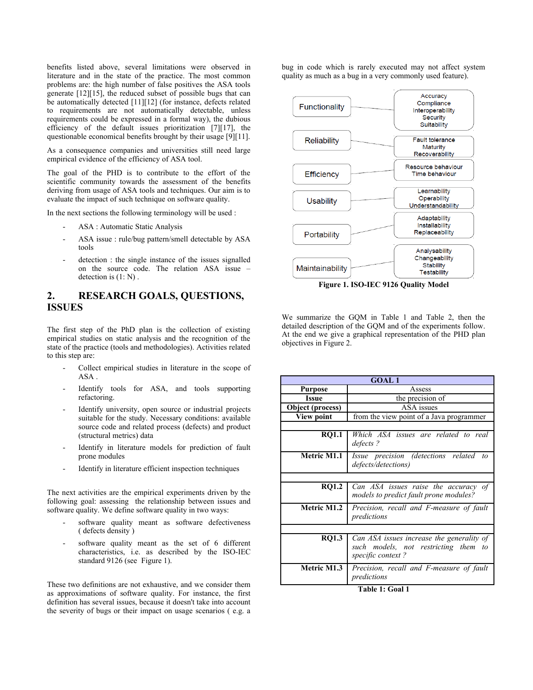benefits listed above, several limitations were observed in literature and in the state of the practice. The most common problems are: the high number of false positives the ASA tools generate [12][15], the reduced subset of possible bugs that can be automatically detected [11][12] (for instance, defects related to requirements are not automatically detectable, unless requirements could be expressed in a formal way), the dubious efficiency of the default issues prioritization [7][17], the questionable economical benefits brought by their usage [9][11].

As a consequence companies and universities still need large empirical evidence of the efficiency of ASA tool.

The goal of the PHD is to contribute to the effort of the scientific community towards the assessment of the benefits deriving from usage of ASA tools and techniques. Our aim is to evaluate the impact of such technique on software quality.

In the next sections the following terminology will be used :

- ASA : Automatic Static Analysis
- ASA issue : rule/bug pattern/smell detectable by ASA tools
- detection : the single instance of the issues signalled on the source code. The relation ASA issue – detection is (1: N) .

# **2. RESEARCH GOALS, QUESTIONS, ISSUES**

The first step of the PhD plan is the collection of existing empirical studies on static analysis and the recognition of the state of the practice (tools and methodologies). Activities related to this step are:

- Collect empirical studies in literature in the scope of ASA .
- Identify tools for ASA, and tools supporting refactoring.
- Identify university, open source or industrial projects suitable for the study. Necessary conditions: available source code and related process (defects) and product (structural metrics) data
- Identify in literature models for prediction of fault prone modules
- Identify in literature efficient inspection techniques

The next activities are the empirical experiments driven by the following goal: assessing the relationship between issues and software quality. We define software quality in two ways:

- software quality meant as software defectiveness ( defects density )
- software quality meant as the set of 6 different characteristics, i.e. as described by the ISO-IEC standard 9126 (see Figure 1).

These two definitions are not exhaustive, and we consider them as approximations of software quality. For instance, the first definition has several issues, because it doesn't take into account the severity of bugs or their impact on usage scenarios ( e.g. a bug in code which is rarely executed may not affect system quality as much as a bug in a very commonly used feature).



**Figure 1. ISO-IEC 9126 Quality Model**

We summarize the GQM in Table 1 and Table 2, then the detailed description of the GQM and of the experiments follow. At the end we give a graphical representation of the PHD plan objectives in Figure 2.

| <b>GOAL1</b>       |                                                                                                           |
|--------------------|-----------------------------------------------------------------------------------------------------------|
| <b>Purpose</b>     | Assess                                                                                                    |
| Issue              | the precision of                                                                                          |
| Object (process)   | ASA issues                                                                                                |
| <b>View point</b>  | from the view point of a Java programmer                                                                  |
|                    |                                                                                                           |
| <b>RO1.1</b>       | Which ASA issues are related to real<br>defects?                                                          |
| <b>Metric M1.1</b> | Issue precision (detections related<br>to<br>defects/detections)                                          |
|                    |                                                                                                           |
| <b>RO1.2</b>       | Can ASA issues raise the accuracy of<br>models to predict fault prone modules?                            |
| <b>Metric M1.2</b> | Precision, recall and F-measure of fault<br>predictions                                                   |
|                    |                                                                                                           |
| <b>RO1.3</b>       | Can ASA issues increase the generality of<br>such models, not restricting them<br>to<br>specific context? |
| <b>Metric M1.3</b> | Precision, recall and F-measure of fault<br>predictions                                                   |

**Table 1: Goal 1**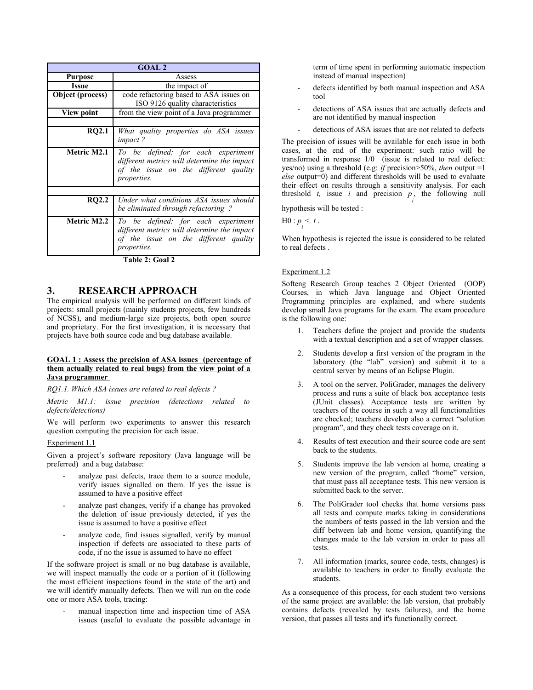| <b>GOAL 2</b>     |                                                                                                                                                  |
|-------------------|--------------------------------------------------------------------------------------------------------------------------------------------------|
| Purpose           | Assess                                                                                                                                           |
| <b>Issue</b>      | the impact of                                                                                                                                    |
| Object (process)  | code refactoring based to ASA issues on                                                                                                          |
|                   | ISO 9126 quality characteristics                                                                                                                 |
| <b>View point</b> | from the view point of a Java programmer                                                                                                         |
|                   |                                                                                                                                                  |
| <b>RQ2.1</b>      | What quality properties do ASA issues<br>impact?                                                                                                 |
| Metric M2.1       | To be defined: for each experiment<br>different metrics will determine the impact<br>of the issue on the different quality<br>properties.        |
|                   |                                                                                                                                                  |
| RO2.2             | Under what conditions ASA issues should<br>be eliminated through refactoring?                                                                    |
| Metric M2.2       | To be defined: for each experiment<br>different metrics will determine the impact<br>of the issue on the different quality<br><i>properties.</i> |

**Table 2: Goal 2**

# **3. RESEARCH APPROACH**

The empirical analysis will be performed on different kinds of projects: small projects (mainly students projects, few hundreds of NCSS), and medium-large size projects, both open source and proprietary. For the first investigation, it is necessary that projects have both source code and bug database available.

#### **GOAL 1 : Assess the precision of ASA issues (percentage of them actually related to real bugs) from the view point of a Java programmer**

*RQ1.1. Which ASA issues are related to real defects ?*

*Metric M1.1: issue precision (detections related to defects/detections)*

We will perform two experiments to answer this research question computing the precision for each issue.

#### Experiment 1.1

Given a project's software repository (Java language will be preferred) and a bug database:

- analyze past defects, trace them to a source module, verify issues signalled on them. If yes the issue is assumed to have a positive effect
- analyze past changes, verify if a change has provoked the deletion of issue previously detected, if yes the issue is assumed to have a positive effect
- analyze code, find issues signalled, verify by manual inspection if defects are associated to these parts of code, if no the issue is assumed to have no effect

If the software project is small or no bug database is available, we will inspect manually the code or a portion of it (following the most efficient inspections found in the state of the art) and we will identify manually defects. Then we will run on the code one or more ASA tools, tracing:

manual inspection time and inspection time of ASA issues (useful to evaluate the possible advantage in term of time spent in performing automatic inspection instead of manual inspection)

- defects identified by both manual inspection and ASA tool
- detections of ASA issues that are actually defects and are not identified by manual inspection
- detections of ASA issues that are not related to defects

The precision of issues will be available for each issue in both cases, at the end of the experiment: such ratio will be transformed in response 1/0 (issue is related to real defect: yes/no) using a threshold (e.g: *if* precision>50%, *then* output =1 *else* output=0) and different thresholds will be used to evaluate their effect on results through a sensitivity analysis. For each threshold *t*, issue *i* and precision  $p_i$ , the following null

hypothesis will be tested :

 $H0: p_i < t.$ 

When hypothesis is rejected the issue is considered to be related to real defects .

## Experiment 1.2

Softeng Research Group teaches 2 Object Oriented (OOP) Courses, in which Java language and Object Oriented Programming principles are explained, and where students develop small Java programs for the exam. The exam procedure is the following one:

- 1. Teachers define the project and provide the students with a textual description and a set of wrapper classes.
- 2. Students develop a first version of the program in the laboratory (the "lab" version) and submit it to a central server by means of an Eclipse Plugin.
- 3. A tool on the server, PoliGrader, manages the delivery process and runs a suite of black box acceptance tests (JUnit classes). Acceptance tests are written by teachers of the course in such a way all functionalities are checked; teachers develop also a correct "solution program", and they check tests coverage on it.
- 4. Results of test execution and their source code are sent back to the students.
- 5. Students improve the lab version at home, creating a new version of the program, called "home" version, that must pass all acceptance tests. This new version is submitted back to the server.
- 6. The PoliGrader tool checks that home versions pass all tests and compute marks taking in considerations the numbers of tests passed in the lab version and the diff between lab and home version, quantifying the changes made to the lab version in order to pass all tests.
- 7. All information (marks, source code, tests, changes) is available to teachers in order to finally evaluate the students.

As a consequence of this process, for each student two versions of the same project are available: the lab version, that probably contains defects (revealed by tests failures), and the home version, that passes all tests and it's functionally correct.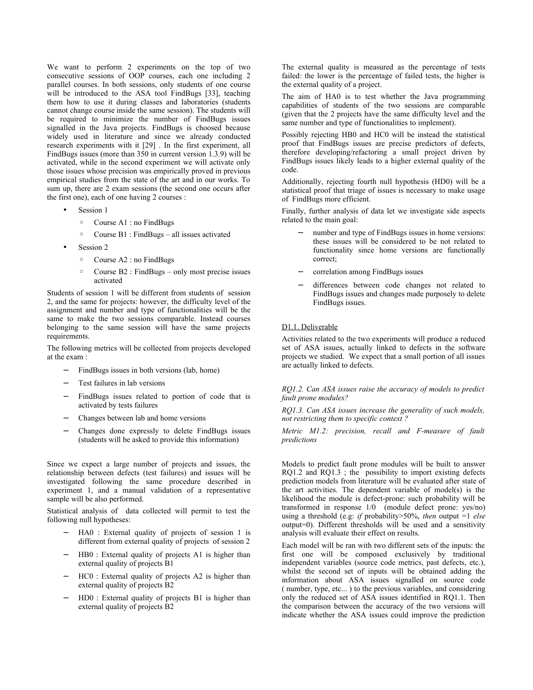We want to perform 2 experiments on the top of two consecutive sessions of OOP courses, each one including 2 parallel courses. In both sessions, only students of one course will be introduced to the ASA tool FindBugs [33], teaching them how to use it during classes and laboratories (students cannot change course inside the same session). The students will be required to minimize the number of FindBugs issues signalled in the Java projects. FindBugs is choosed because widely used in literature and since we already conducted research experiments with it [29] . In the first experiment, all FindBugs issues (more than 350 in current version 1.3.9) will be activated, while in the second experiment we will activate only those issues whose precision was empirically proved in previous empirical studies from the state of the art and in our works. To sum up, there are 2 exam sessions (the second one occurs after the first one), each of one having 2 courses :

- Session 1
	- Course A1 : no FindBugs
	- Course B1 : FindBugs all issues activated
- Session 2
	- Course A2 : no FindBugs
	- Course B2 : FindBugs only most precise issues activated

Students of session 1 will be different from students of session 2, and the same for projects: however, the difficulty level of the assignment and number and type of functionalities will be the same to make the two sessions comparable. Instead courses belonging to the same session will have the same projects requirements.

The following metrics will be collected from projects developed at the exam :

- FindBugs issues in both versions (lab, home)
- Test failures in lab versions
- FindBugs issues related to portion of code that is activated by tests failures
- − Changes between lab and home versions
- − Changes done expressly to delete FindBugs issues (students will be asked to provide this information)

Since we expect a large number of projects and issues, the relationship between defects (test failures) and issues will be investigated following the same procedure described in experiment 1, and a manual validation of a representative sample will be also performed.

Statistical analysis of data collected will permit to test the following null hypotheses:

- − HA0 : External quality of projects of session 1 is different from external quality of projects of session 2
- HB0 : External quality of projects A1 is higher than external quality of projects B1
- HC0 : External quality of projects A2 is higher than external quality of projects B2
- − HD0 : External quality of projects B1 is higher than external quality of projects B2

The external quality is measured as the percentage of tests failed: the lower is the percentage of failed tests, the higher is the external quality of a project.

The aim of HA0 is to test whether the Java programming capabilities of students of the two sessions are comparable (given that the 2 projects have the same difficulty level and the same number and type of functionalities to implement).

Possibly rejecting HB0 and HC0 will be instead the statistical proof that FindBugs issues are precise predictors of defects, therefore developing/refactoring a small project driven by FindBugs issues likely leads to a higher external quality of the code.

Additionally, rejecting fourth null hypothesis (HD0) will be a statistical proof that triage of issues is necessary to make usage of FindBugs more efficient.

Finally, further analysis of data let we investigate side aspects related to the main goal:

- number and type of FindBugs issues in home versions: these issues will be considered to be not related to functionality since home versions are functionally correct;
- − correlation among FindBugs issues
- differences between code changes not related to FindBugs issues and changes made purposely to delete FindBugs issues.

#### D1.1. Deliverable

Activities related to the two experiments will produce a reduced set of ASA issues, actually linked to defects in the software projects we studied. We expect that a small portion of all issues are actually linked to defects.

#### *RQ1.2. Can ASA issues raise the accuracy of models to predict fault prone modules?*

*RQ1.3. Can ASA issues increase the generality of such models, not restricting them to specific context ?*

*Metric M1.2: precision, recall and F-measure of fault predictions*

Models to predict fault prone modules will be built to answer  $RQ1.2$  and  $RQ1.3$ ; the possibility to import existing defects prediction models from literature will be evaluated after state of the art activities. The dependent variable of model(s) is the likelihood the module is defect-prone: such probability will be transformed in response 1/0 (module defect prone: yes/no) using a threshold (e.g: *if* probability>50%, *then* output =1 *else* output=0). Different thresholds will be used and a sensitivity analysis will evaluate their effect on results.

Each model will be ran with two different sets of the inputs: the first one will be composed exclusively by traditional independent variables (source code metrics, past defects, etc.), whilst the second set of inputs will be obtained adding the information about ASA issues signalled on source code ( number, type, etc... ) to the previous variables, and considering only the reduced set of ASA issues identified in RQ1.1. Then the comparison between the accuracy of the two versions will indicate whether the ASA issues could improve the prediction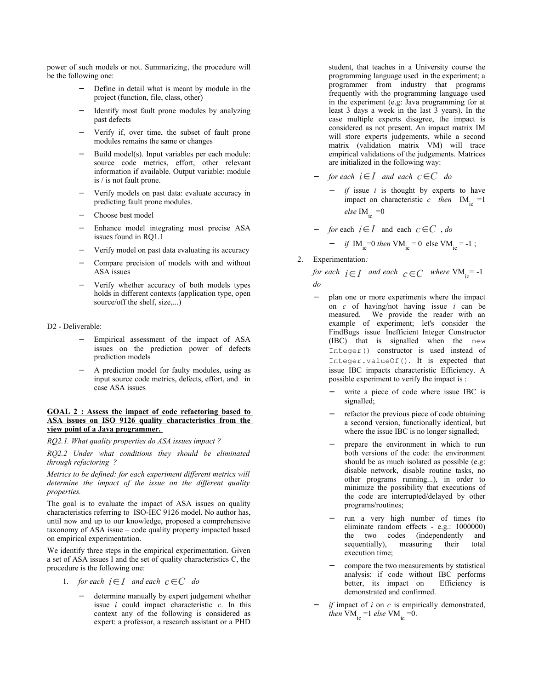power of such models or not. Summarizing, the procedure will be the following one:

- Define in detail what is meant by module in the project (function, file, class, other)
- Identify most fault prone modules by analyzing past defects
- − Verify if, over time, the subset of fault prone modules remains the same or changes
- Build model(s). Input variables per each module: source code metrics, effort, other relevant information if available. Output variable: module is / is not fault prone.
- − Verify models on past data: evaluate accuracy in predicting fault prone modules.
- Choose best model
- Enhance model integrating most precise ASA issues found in RQ1.1
- − Verify model on past data evaluating its accuracy
- Compare precision of models with and without ASA issues
- − Verify whether accuracy of both models types holds in different contexts (application type, open source/off the shelf, size,...)

#### D<sub>2</sub> - Deliverable:

- Empirical assessment of the impact of ASA issues on the prediction power of defects prediction models
- A prediction model for faulty modules, using as input source code metrics, defects, effort, and in case ASA issues

#### **GOAL 2 : Assess the impact of code refactoring based to ASA issues on ISO 9126 quality characteristics from the view point of a Java programmer.**

*RQ2.1. What quality properties do ASA issues impact ?* 

*RQ2.2 Under what conditions they should be eliminated through refactoring ?*

*Metrics to be defined: for each experiment different metrics will determine the impact of the issue on the different quality properties.*

The goal is to evaluate the impact of ASA issues on quality characteristics referring to ISO-IEC 9126 model. No author has, until now and up to our knowledge, proposed a comprehensive taxonomy of ASA issue – code quality property impacted based on empirical experimentation.

We identify three steps in the empirical experimentation. Given a set of ASA issues I and the set of quality characteristics C, the procedure is the following one:

- 1. *for each*  $i \in I$  *and each*  $c \in C$  *do* 
	- − determine manually by expert judgement whether issue *i* could impact characteristic *c*. In this context any of the following is considered as expert: a professor, a research assistant or a PHD

student, that teaches in a University course the programming language used in the experiment; a programmer from industry that programs frequently with the programming language used in the experiment (e.g: Java programming for at least 3 days a week in the last 3 years). In the case multiple experts disagree, the impact is considered as not present. An impact matrix IM will store experts judgements, while a second matrix (validation matrix VM) will trace empirical validations of the judgements. Matrices are initialized in the following way:

- *for each*  $i \in I$  *and each*  $c \in C$  *do* 
	- *if* issue *i* is thought by experts to have impact on characteristic *c* then  $IM_{in} = 1$ *else* IM<sub>ic</sub> = 0

- *for* each 
$$
i \in I
$$
 and each  $c \in C$ , *do*  
- *if* IM<sub>ic</sub>=0 *then* VM<sub>ic</sub> = 0 else VM<sub>ic</sub> = -1;

2. Experimentation*:*

*for each*  $i \in I$  *and each*  $c \in C$  *where* VM<sub>ic</sub> = -1 *do*

- − plan one or more experiments where the impact on *c* of having/not having issue *i* can be measured. We provide the reader with an example of experiment; let's consider the FindBugs issue Inefficient Integer Constructor (IBC) that is signalled when the new Integer() constructor is used instead of Integer.valueOf(). It is expected that issue IBC impacts characteristic Efficiency. A possible experiment to verify the impact is :
	- write a piece of code where issue IBC is signalled;
	- refactor the previous piece of code obtaining a second version, functionally identical, but where the issue IBC is no longer signalled;
	- prepare the environment in which to run both versions of the code: the environment should be as much isolated as possible (e.g: disable network, disable routine tasks, no other programs running...), in order to minimize the possibility that executions of the code are interrupted/delayed by other programs/routines;
	- run a very high number of times (to eliminate random effects - e.g.: 1000000) the two codes (independently and sequentially), measuring their total execution time;
	- compare the two measurements by statistical analysis: if code without IBC performs better, its impact on Efficiency is demonstrated and confirmed.
- $if$  impact of  $i$  on  $c$  is empirically demonstrated, *then*  $\text{VM}_{\text{in}} = 1$  *else*  $\text{VM}_{\text{in}} = 0$ .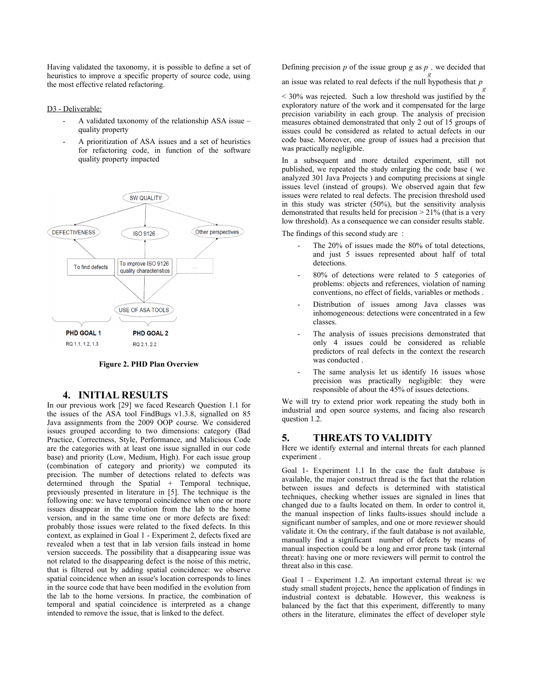Having validated the taxonomy, it is possible to define a set of heuristics to improve a specific property of source code, using the most effective related refactoring.

#### D<sub>3</sub> - Deliverable:

- A validated taxonomy of the relationship ASA issue quality property
- A prioritization of ASA issues and a set of heuristics for refactoring code, in function of the software quality property impacted



**Figure 2. PHD Plan Overview**

## **4. INITIAL RESULTS**

In our previous work [29] we faced Research Question 1.1 for the issues of the ASA tool FindBugs v1.3.8, signalled on 85 Java assignments from the 2009 OOP course. We considered issues grouped according to two dimensions: category (Bad Practice, Correctness, Style, Performance, and Malicious Code are the categories with at least one issue signalled in our code base) and priority (Low, Medium, High). For each issue group (combination of category and priority) we computed its precision. The number of detections related to defects was  $d$  determined through the Spatial + Temporal technique, previously presented in literature in [5]. The technique is the following one: we have temporal coincidence when one or more issues disappear in the evolution from the lab to the home version, and in the same time one or more defects are fixed: probably those issues were related to the fixed defects. In this context, as explained in Goal 1 - Experiment 2, defects fixed are revealed when a test that in lab version fails instead in home version succeeds. The possibility that a disappearing issue was not related to the disappearing defect is the noise of this metric, that is filtered out by adding spatial coincidence: we observe spatial coincidence when an issue's location corresponds to lines in the source code that have been modified in the evolution from the lab to the home versions. In practice, the combination of temporal and spatial coincidence is interpreted as a change intended to remove the issue, that is linked to the defect.

Defining precision *p* of the issue group *g* as *p*, we decided that

an issue was related to real defects if the null hypothesis that *p g*

< 30% was rejected. Such a low threshold was justified by the exploratory nature of the work and it compensated for the large precision variability in each group. The analysis of precision measures obtained demonstrated that only 2 out of 15 groups of issues could be considered as related to actual defects in our code base. Moreover, one group of issues had a precision that was practically negligible.

In a subsequent and more detailed experiment, still not published, we repeated the study enlarging the code base ( we analyzed 301 Java Projects ) and computing precisions at single issues level (instead of groups). We observed again that few issues were related to real defects. The precision threshold used in this study was stricter (50%), but the sensitivity analysis demonstrated that results held for precision > 21% (that is a very low threshold). As a consequence we can consider results stable.

The findings of this second study are :

- The 20% of issues made the 80% of total detections, and just 5 issues represented about half of total detections.
- 80% of detections were related to 5 categories of problems: objects and references, violation of naming conventions, no effect of fields, variables or methods .
- Distribution of issues among Java classes was inhomogeneous: detections were concentrated in a few classes.
- The analysis of issues precisions demonstrated that only 4 issues could be considered as reliable predictors of real defects in the context the research was conducted .
- The same analysis let us identify 16 issues whose precision was practically negligible: they were responsible of about the 45% of issues detections.

We will try to extend prior work repeating the study both in industrial and open source systems, and facing also research question 1.2.

# **5. THREATS TO VALIDITY**

Here we identify external and internal threats for each planned experiment .

Goal 1- Experiment 1.1 In the case the fault database is available, the major construct thread is the fact that the relation between issues and defects is determined with statistical techniques, checking whether issues are signaled in lines that changed due to a faults located on them. In order to control it, the manual inspection of links faults-issues should include a significant number of samples, and one or more reviewer should validate it. On the contrary, if the fault database is not available, manually find a significant number of defects by means of manual inspection could be a long and error prone task (internal threat): having one or more reviewers will permit to control the threat also in this case.

Goal 1 – Experiment 1.2. An important external threat is: we study small student projects, hence the application of findings in industrial context is debatable. However, this weakness is balanced by the fact that this experiment, differently to many others in the literature, eliminates the effect of developer style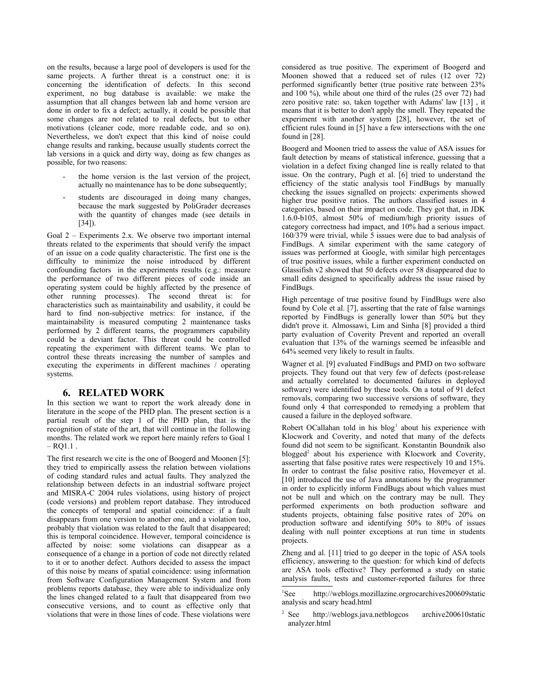on the results, because a large pool of developers is used for the same projects. A further threat is a construct one: it is concerning the identification of defects. In this second experiment, no bug database is available: we make the assumption that all changes between lab and home version are done in order to fix a defect; actually, it could be possible that some changes are not related to real defects, but to other motivations (cleaner code, more readable code, and so on). Nevertheless, we don't expect that this kind of noise could change results and ranking, because usually students correct the lab versions in a quick and dirty way, doing as few changes as possible, for two reasons:

- the home version is the last version of the project, actually no maintenance has to be done subsequently;
- students are discouraged in doing many changes, because the mark suggested by PoliGrader decreases with the quantity of changes made (see details in [34]).

Goal 2 – Experiments 2.x. We observe two important internal threats related to the experiments that should verify the impact of an issue on a code quality characteristic. The first one is the difficulty to minimize the noise introduced by different confounding factors in the experiments results (e.g.: measure the performance of two different pieces of code inside an operating system could be highly affected by the presence of other running processes). The second threat is: for characteristics such as maintainability and usability, it could be hard to find non-subjective metrics: for instance, if the maintainability is measured computing 2 maintenance tasks performed by 2 different teams, the programmers capability could be a deviant factor. This threat could be controlled repeating the experiment with different teams. We plan to control these threats increasing the number of samples and executing the experiments in different machines / operating systems.

### **6. RELATED WORK**

In this section we want to report the work already done in literature in the scope of the PHD plan. The present section is a partial result of the step 1 of the PHD plan, that is the recognition of state of the art, that will continue in the following months. The related work we report here mainly refers to Goal 1  $-$  RQ1.1.

The first research we cite is the one of Boogerd and Moonen [5]: they tried to empirically assess the relation between violations of coding standard rules and actual faults. They analyzed the relationship between defects in an industrial software project and MISRA-C 2004 rules violations, using history of project (code versions) and problem report database. They introduced the concepts of temporal and spatial coincidence: if a fault disappears from one version to another one, and a violation too, probably that violation was related to the fault that disappeared; this is temporal coincidence. However, temporal coincidence is affected by noise: some violations can disappear as a consequence of a change in a portion of code not directly related to it or to another defect. Authors decided to assess the impact of this noise by means of spatial coincidence: using information from Software Configuration Management System and from problems reports database, they were able to individualize only the lines changed related to a fault that disappeared from two consecutive versions, and to count as effective only that violations that were in those lines of code. These violations were

considered as true positive. The experiment of Boogerd and Moonen showed that a reduced set of rules (12 over 72) performed significantly better (true positive rate between 23% and 100 %), while about one third of the rules (25 over 72) had zero positive rate: so, taken together with Adams' law [13] , it means that it is better to don't apply the smell. They repeated the experiment with another system [28], however, the set of efficient rules found in [5] have a few intersections with the one found in [28].

Boogerd and Moonen tried to assess the value of ASA issues for fault detection by means of statistical inference, guessing that a violation in a defect fixing changed line is really related to that issue. On the contrary, Pugh et al. [6] tried to understand the efficiency of the static analysis tool FindBugs by manually checking the issues signalled on projects: experiments showed higher true positive ratios. The authors classified issues in 4 categories, based on their impact on code. They got that, in JDK 1.6.0-b105, almost 50% of medium/high priority issues of category correctness had impact, and 10% had a serious impact. 160/379 were trivial, while 5 issues were due to bad analysis of FindBugs. A similar experiment with the same category of issues was performed at Google, with similar high percentages of true positive issues, while a further experiment conducted on Glassifish v2 showed that 50 defects over 58 disappeared due to small edits designed to specifically address the issue raised by FindBugs.

High percentage of true positive found by FindBugs were also found by Cole et al. [7], asserting that the rate of false warnings reported by FindBugs is generally lower than 50% but they didn't prove it. Almossawi, Lim and Sinha [8] provided a third party evaluation of Coverity Prevent and reported an overall evaluation that 13% of the warnings seemed be infeasible and 64% seemed very likely to result in faults.

Wagner et al. [9] evaluated FindBugs and PMD on two software projects. They found out that very few of defects (post-release and actually correlated to documented failures in deployed software) were identified by these tools. On a total of 91 defect removals, comparing two successive versions of software, they found only 4 that corresponded to remedying a problem that caused a failure in the deployed software.

Robert OCallahan told in his blog<sup>[1](#page-6-0)</sup> about his experience with Klocwork and Coverity, and noted that many of the defects found did not seem to be significant. Konstantin Boundnik also blogged<sup>[2](#page-6-1)</sup> about his experience with Klocwork and Coverity, asserting that false positive rates were respectively 10 and 15%. In order to contrast the false positive ratio, Hovemeyer et al. [10] introduced the use of Java annotations by the programmer in order to explicitly inform FindBugs about which values must not be null and which on the contrary may be null. They performed experiments on both production software and students projects, obtaining false positive rates of 20% on production software and identifying 50% to 80% of issues dealing with null pointer exceptions at run time in students projects.

Zheng and al. [11] tried to go deeper in the topic of ASA tools efficiency, answering to the question: for which kind of defects are ASA tools effective? They performed a study on static analysis faults, tests and customer-reported failures for three

<span id="page-6-0"></span><sup>1</sup>See http://weblogs.mozillazine.orgrocarchives200609static analysis and scary head.html

<span id="page-6-1"></span><sup>2</sup> See http://weblogs.java.netblogcos archive200610static analyzer.html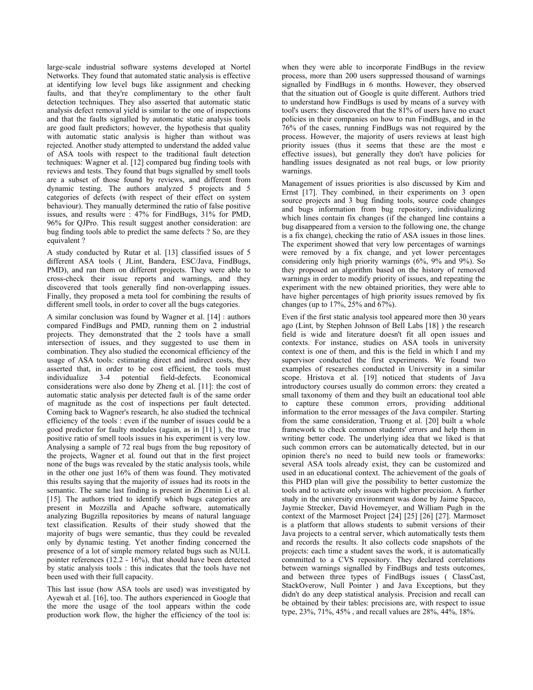large-scale industrial software systems developed at Nortel Networks. They found that automated static analysis is effective at identifying low level bugs like assignment and checking faults, and that they're complimentary to the other fault detection techniques. They also asserted that automatic static analysis defect removal yield is similar to the one of inspections and that the faults signalled by automatic static analysis tools are good fault predictors; however, the hypothesis that quality with automatic static analysis is higher than without was rejected. Another study attempted to understand the added value of ASA tools with respect to the traditional fault detection techniques: Wagner et al. [12] compared bug finding tools with reviews and tests. They found that bugs signalled by smell tools are a subset of those found by reviews, and different from dynamic testing. The authors analyzed 5 projects and 5 categories of defects (with respect of their effect on system behaviour). They manually determined the ratio of false positive issues, and results were : 47% for FindBugs, 31% for PMD, 96% for QJPro. This result suggest another consideration: are bug finding tools able to predict the same defects ? So, are they equivalent ?

A study conducted by Rutar et al. [13] classified issues of 5 different ASA tools ( JLint, Bandera, ESC/Java, FindBugs, PMD), and ran them on different projects. They were able to cross-check their issue reports and warnings, and they discovered that tools generally find non-overlapping issues. Finally, they proposed a meta tool for combining the results of different smell tools, in order to cover all the bugs categories.

A similar conclusion was found by Wagner et al. [14] : authors compared FindBugs and PMD, running them on 2 industrial projects. They demonstrated that the 2 tools have a small intersection of issues, and they suggested to use them in combination. They also studied the economical efficiency of the usage of ASA tools: estimating direct and indirect costs, they asserted that, in order to be cost efficient, the tools must individualize 3-4 potential field-defects. Economical considerations were also done by Zheng et al. [11]: the cost of automatic static analysis per detected fault is of the same order of magnitude as the cost of inspections per fault detected. Coming back to Wagner's research, he also studied the technical efficiency of the tools : even if the number of issues could be a good predictor for faulty modules (again, as in [11] ), the true positive ratio of smell tools issues in his experiment is very low. Analysing a sample of 72 real bugs from the bug repository of the projects, Wagner et al. found out that in the first project none of the bugs was revealed by the static analysis tools, while in the other one just 16% of them was found. They motivated this results saying that the majority of issues had its roots in the semantic. The same last finding is present in Zhenmin Li et al. [15]. The authors tried to identify which bugs categories are present in Mozzilla and Apache software, automatically analyzing Bugzilla repositories by means of natural language text classification. Results of their study showed that the majority of bugs were semantic, thus they could be revealed only by dynamic testing. Yet another finding concerned the presence of a lot of simple memory related bugs such as NULL pointer references  $(12.2 - 16%)$ , that should have been detected by static analysis tools : this indicates that the tools have not been used with their full capacity.

This last issue (how ASA tools are used) was investigated by Ayewah et al. [16], too. The authors experienced in Google that the more the usage of the tool appears within the code production work flow, the higher the efficiency of the tool is:

when they were able to incorporate FindBugs in the review process, more than 200 users suppressed thousand of warnings signalled by FindBugs in 6 months. However, they observed that the situation out of Google is quite different. Authors tried to understand how FindBugs is used by means of a survey with tool's users: they discovered that the 81% of users have no exact policies in their companies on how to run FindBugs, and in the 76% of the cases, running FindBugs was not required by the process. However, the majority of users reviews at least high priority issues (thus it seems that these are the most e effective issues), but generally they don't have policies for handling issues designated as not real bugs, or low priority warnings.

Management of issues priorities is also discussed by Kim and Ernst [17]. They combined, in their experiments on 3 open source projects and 3 bug finding tools, source code changes and bugs information from bug repository, individualizing which lines contain fix changes (if the changed line contains a bug disappeared from a version to the following one, the change is a fix change), checking the ratio of ASA issues in those lines. The experiment showed that very low percentages of warnings were removed by a fix change, and yet lower percentages considering only high priority warnings (6%, 9% and 9%). So they proposed an algorithm based on the history of removed warnings in order to modify priority of issues, and repeating the experiment with the new obtained priorities, they were able to have higher percentages of high priority issues removed by fix changes (up to  $17%$ ,  $25%$  and  $67%$ ).

Even if the first static analysis tool appeared more then 30 years ago (Lint, by Stephen Johnson of Bell Labs [18] ) the research field is wide and literature doesn't fit all open issues and contexts. For instance, studies on ASA tools in university context is one of them, and this is the field in which I and my supervisor conducted the first experiments. We found two examples of researches conducted in University in a similar scope. Hristova et al. [19] noticed that students of Java introductory courses usually do common errors: they created a small taxonomy of them and they built an educational tool able to capture these common errors, providing additional information to the error messages of the Java compiler. Starting from the same consideration, Truong et al. [20] built a whole framework to check common students' errors and help them in writing better code. The underlying idea that we liked is that such common errors can be automatically detected, but in our opinion there's no need to build new tools or frameworks: several ASA tools already exist, they can be customized and used in an educational context. The achievement of the goals of this PHD plan will give the possibility to better customize the tools and to activate only issues with higher precision. A further study in the university environment was done by Jaime Spacco, Jaymie Strecker, David Hovemeyer, and William Pugh in the context of the Marmoset Project [24] [25] [26] [27]. Marmoset is a platform that allows students to submit versions of their Java projects to a central server, which automatically tests them and records the results. It also collects code snapshots of the projects: each time a student saves the work, it is automatically committed to a CVS repository. They declared correlations between warnings signalled by FindBugs and tests outcomes, and between three types of FindBugs issues ( ClassCast, StackOverow, Null Pointer ) and Java Exceptions, but they didn't do any deep statistical analysis. Precision and recall can be obtained by their tables: precisions are, with respect to issue type, 23%, 71%, 45% , and recall values are 28%, 44%, 18%.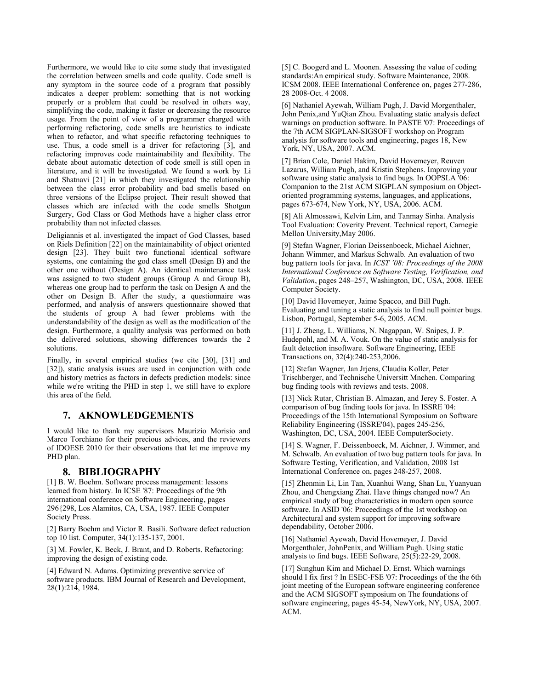Furthermore, we would like to cite some study that investigated the correlation between smells and code quality. Code smell is any symptom in the source code of a program that possibly indicates a deeper problem: something that is not working properly or a problem that could be resolved in others way, simplifying the code, making it faster or decreasing the resource usage. From the point of view of a programmer charged with performing refactoring, code smells are heuristics to indicate when to refactor, and what specific refactoring techniques to use. Thus, a code smell is a driver for refactoring  $\lceil 3 \rceil$ , and refactoring improves code maintainability and flexibility. The debate about automatic detection of code smell is still open in literature, and it will be investigated. We found a work by Li and Shatnavi [21] in which they investigated the relationship between the class error probability and bad smells based on three versions of the Eclipse project. Their result showed that classes which are infected with the code smells Shotgun Surgery, God Class or God Methods have a higher class error probability than not infected classes.

Deligiannis et al. investigated the impact of God Classes, based on Riels Definition [22] on the maintainability of object oriented design [23]. They built two functional identical software systems, one containing the god class smell (Design B) and the other one without (Design A). An identical maintenance task was assigned to two student groups (Group A and Group B), whereas one group had to perform the task on Design A and the other on Design B. After the study, a questionnaire was performed, and analysis of answers questionnaire showed that the students of group A had fewer problems with the understandability of the design as well as the modification of the design. Furthermore, a quality analysis was performed on both the delivered solutions, showing differences towards the 2 solutions.

Finally, in several empirical studies (we cite [30], [31] and [32]), static analysis issues are used in conjunction with code and history metrics as factors in defects prediction models: since while we're writing the PHD in step 1, we still have to explore this area of the field.

# **7. AKNOWLEDGEMENTS**

I would like to thank my supervisors Maurizio Morisio and Marco Torchiano for their precious advices, and the reviewers of IDOESE 2010 for their observations that let me improve my PHD plan.

# **8. BIBLIOGRAPHY**

[1] B. W. Boehm. Software process management: lessons learned from history. In ICSE '87: Proceedings of the 9th international conference on Software Engineering, pages 296{298, Los Alamitos, CA, USA, 1987. IEEE Computer Society Press.

[2] Barry Boehm and Victor R. Basili. Software defect reduction top 10 list. Computer, 34(1):135-137, 2001.

[3] M. Fowler, K. Beck, J. Brant, and D. Roberts. Refactoring: improving the design of existing code.

[4] Edward N. Adams. Optimizing preventive service of software products. IBM Journal of Research and Development, 28(1):214, 1984.

[5] C. Boogerd and L. Moonen. Assessing the value of coding standards:An empirical study. Software Maintenance, 2008. ICSM 2008. IEEE International Conference on, pages 277-286, 28 2008-Oct. 4 2008.

[6] Nathaniel Ayewah, William Pugh, J. David Morgenthaler, John Penix,and YuQian Zhou. Evaluating static analysis defect warnings on production software. In PASTE '07: Proceedings of the 7th ACM SIGPLAN-SIGSOFT workshop on Program analysis for software tools and engineering, pages 18, New York, NY, USA, 2007. ACM.

[7] Brian Cole, Daniel Hakim, David Hovemeyer, Reuven Lazarus, William Pugh, and Kristin Stephens. Improving your software using static analysis to find bugs. In OOPSLA '06: Companion to the 21st ACM SIGPLAN symposium on Objectoriented programming systems, languages, and applications, pages 673-674, New York, NY, USA, 2006. ACM.

[8] Ali Almossawi, Kelvin Lim, and Tanmay Sinha. Analysis Tool Evaluation: Coverity Prevent. Technical report, Carnegie Mellon University,May 2006.

[9] Stefan Wagner, Florian Deissenboeck, Michael Aichner, Johann Wimmer, and Markus Schwalb. An evaluation of two bug pattern tools for java. In *ICST '08: Proceedings of the 2008 International Conference on Software Testing, Verification, and Validation*, pages 248–257, Washington, DC, USA, 2008. IEEE Computer Society.

[10] David Hovemeyer, Jaime Spacco, and Bill Pugh. Evaluating and tuning a static analysis to find null pointer bugs. Lisbon, Portugal, September 5-6, 2005. ACM.

[11] J. Zheng, L. Williams, N. Nagappan, W. Snipes, J. P. Hudepohl, and M. A. Vouk. On the value of static analysis for fault detection insoftware. Software Engineering, IEEE Transactions on, 32(4):240-253,2006.

[12] Stefan Wagner, Jan Jrjens, Claudia Koller, Peter Trischberger, and Technische Universitt Mnchen. Comparing bug finding tools with reviews and tests. 2008.

[13] Nick Rutar, Christian B. Almazan, and Jerey S. Foster. A comparison of bug finding tools for java. In ISSRE '04: Proceedings of the 15th International Symposium on Software Reliability Engineering (ISSRE'04), pages 245-256, Washington, DC, USA, 2004. IEEE ComputerSociety.

[14] S. Wagner, F. Deissenboeck, M. Aichner, J. Wimmer, and M. Schwalb. An evaluation of two bug pattern tools for java. In Software Testing, Verification, and Validation, 2008 1st International Conference on, pages 248-257, 2008.

[15] Zhenmin Li, Lin Tan, Xuanhui Wang, Shan Lu, Yuanyuan Zhou, and Chengxiang Zhai. Have things changed now? An empirical study of bug characteristics in modern open source software. In ASID '06: Proceedings of the 1st workshop on Architectural and system support for improving software dependability, October 2006.

[16] Nathaniel Ayewah, David Hovemeyer, J. David Morgenthaler, JohnPenix, and William Pugh. Using static analysis to find bugs. IEEE Software, 25(5):22-29, 2008.

[17] Sunghun Kim and Michael D. Ernst. Which warnings should I fix first ? In ESEC-FSE '07: Proceedings of the the 6th joint meeting of the European software engineering conference and the ACM SIGSOFT symposium on The foundations of software engineering, pages 45-54, NewYork, NY, USA, 2007. ACM.